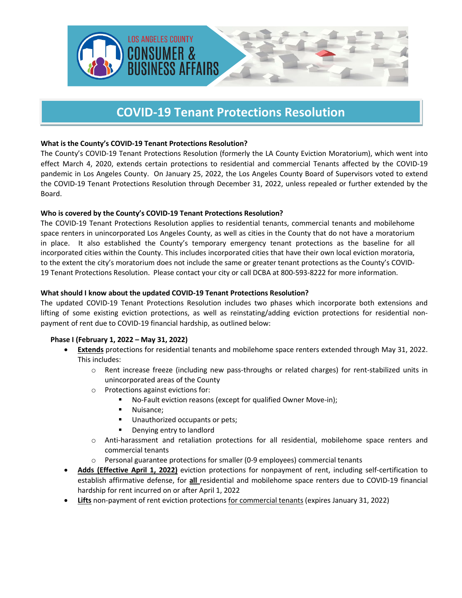

# **COVID-19 Tenant Protections Resolution**

# **What is the County's COVID-19 Tenant Protections Resolution?**

The County's COVID-19 Tenant Protections Resolution (formerly the LA County Eviction Moratorium), which went into effect March 4, 2020, extends certain protections to residential and commercial Tenants affected by the COVID-19 pandemic in Los Angeles County. On January 25, 2022, the Los Angeles County Board of Supervisors voted to extend the COVID-19 Tenant Protections Resolution through December 31, 2022, unless repealed or further extended by the Board.

# **Who is covered by the County's COVID-19 Tenant Protections Resolution?**

The COVID-19 Tenant Protections Resolution applies to residential tenants, commercial tenants and mobilehome space renters in unincorporated Los Angeles County, as well as cities in the County that do not have a moratorium in place. It also established the County's temporary emergency tenant protections as the baseline for all incorporated cities within the County. This includes incorporated cities that have their own local eviction moratoria, to the extent the city's moratorium does not include the same or greater tenant protections as the County's COVID-19 Tenant Protections Resolution. Please contact your city or call DCBA at 800-593-8222 for more information.

## **What should I know about the updated COVID-19 Tenant Protections Resolution?**

The updated COVID-19 Tenant Protections Resolution includes two phases which incorporate both extensions and lifting of some existing eviction protections, as well as reinstating/adding eviction protections for residential nonpayment of rent due to COVID-19 financial hardship, as outlined below:

# **Phase I (February 1, 2022 – May 31, 2022)**

- **Extends** protections for residential tenants and mobilehome space renters extended through May 31, 2022. This includes:
	- o Rent increase freeze (including new pass-throughs or related charges) for rent-stabilized units in unincorporated areas of the County
	- o Protections against evictions for:
		- No-Fault eviction reasons (except for qualified Owner Move-in);
		- **Nuisance**;
		- **Unauthorized occupants or pets;**
		- **•** Denying entry to landlord
	- o Anti-harassment and retaliation protections for all residential, mobilehome space renters and commercial tenants
	- o Personal guarantee protections for smaller (0-9 employees) commercial tenants
- **Adds (Effective April 1, 2022)** eviction protections for nonpayment of rent, including self-certification to establish affirmative defense, for **all** residential and mobilehome space renters due to COVID-19 financial hardship for rent incurred on or after April 1, 2022
- **Lifts** non-payment of rent eviction protections for commercial tenants (expires January 31, 2022)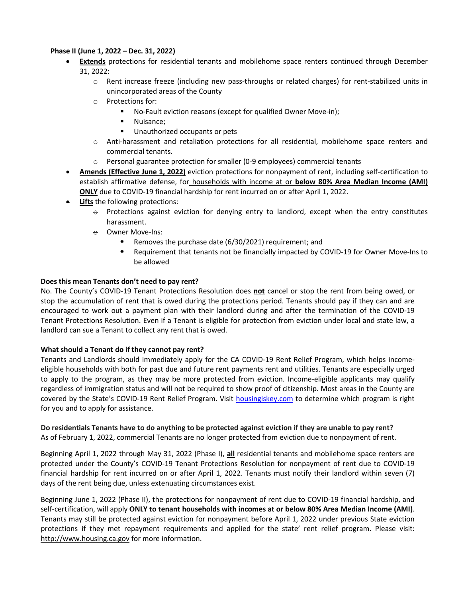## **Phase II (June 1, 2022 – Dec. 31, 2022)**

- **Extends** protections for residential tenants and mobilehome space renters continued through December 31, 2022:
	- o Rent increase freeze (including new pass-throughs or related charges) for rent-stabilized units in unincorporated areas of the County
	- o Protections for:
		- No-Fault eviction reasons (except for qualified Owner Move-in);
		- **Nuisance;**
		- **Unauthorized occupants or pets**
	- o Anti-harassment and retaliation protections for all residential, mobilehome space renters and commercial tenants.
	- o Personal guarantee protection for smaller (0-9 employees) commercial tenants
- **Amends (Effective June 1, 2022)** eviction protections for nonpayment of rent, including self-certification to establish affirmative defense, for households with income at or **below 80% Area Median Income (AMI) ONLY** due to COVID-19 financial hardship for rent incurred on or after April 1, 2022.
- **Lifts** the following protections:
	- $\ominus$  Protections against eviction for denying entry to landlord, except when the entry constitutes harassment.
	- $\ominus$  Owner Move-Ins:
		- Removes the purchase date (6/30/2021) requirement; and
		- Requirement that tenants not be financially impacted by COVID-19 for Owner Move-Ins to be allowed

## **Does this mean Tenants don't need to pay rent?**

No. The County's COVID-19 Tenant Protections Resolution does **not** cancel or stop the rent from being owed, or stop the accumulation of rent that is owed during the protections period. Tenants should pay if they can and are encouraged to work out a payment plan with their landlord during and after the termination of the COVID-19 Tenant Protections Resolution. Even if a Tenant is eligible for protection from eviction under local and state law, a landlord can sue a Tenant to collect any rent that is owed.

#### **What should a Tenant do if they cannot pay rent?**

Tenants and Landlords should immediately apply for the CA COVID-19 Rent Relief Program, which helps incomeeligible households with both for past due and future rent payments rent and utilities. Tenants are especially urged to apply to the program, as they may be more protected from eviction. Income-eligible applicants may qualify regardless of immigration status and will not be required to show proof of citizenship. Most areas in the County are covered by the State's COVID-19 Rent Relief Program. Visit [housingiskey.com](https://housing.ca.gov/) to determine which program is right for you and to apply for assistance.

**Do residentials Tenants have to do anything to be protected against eviction if they are unable to pay rent?** As of February 1, 2022, commercial Tenants are no longer protected from eviction due to nonpayment of rent.

Beginning April 1, 2022 through May 31, 2022 (Phase I), **all** residential tenants and mobilehome space renters are protected under the County's COVID-19 Tenant Protections Resolution for nonpayment of rent due to COVID-19 financial hardship for rent incurred on or after April 1, 2022. Tenants must notify their landlord within seven (7) days of the rent being due, unless extenuating circumstances exist.

Beginning June 1, 2022 (Phase II), the protections for nonpayment of rent due to COVID-19 financial hardship, and self-certification, will apply **ONLY to tenant households with incomes at or below 80% Area Median Income (AMI)**. Tenants may still be protected against eviction for nonpayment before April 1, 2022 under previous State eviction protections if they met repayment requirements and applied for the state' rent relief program. Please visit: [http://www.housing.ca.gov](http://www.housing.ca.gov/) for more information.